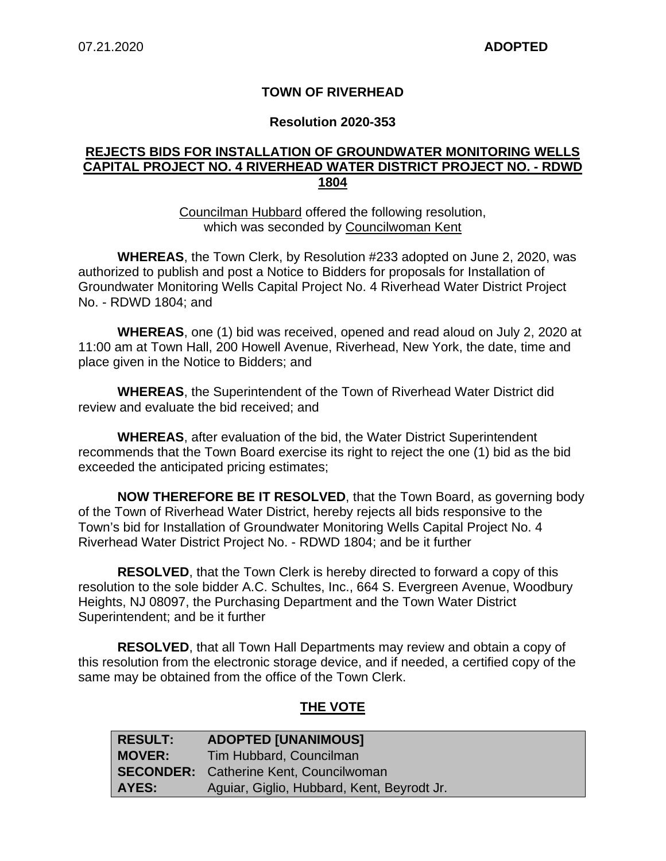## **TOWN OF RIVERHEAD**

#### **Resolution 2020-353**

### **REJECTS BIDS FOR INSTALLATION OF GROUNDWATER MONITORING WELLS CAPITAL PROJECT NO. 4 RIVERHEAD WATER DISTRICT PROJECT NO. - RDWD 1804**

Councilman Hubbard offered the following resolution, which was seconded by Councilwoman Kent

**WHEREAS**, the Town Clerk, by Resolution #233 adopted on June 2, 2020, was authorized to publish and post a Notice to Bidders for proposals for Installation of Groundwater Monitoring Wells Capital Project No. 4 Riverhead Water District Project No. - RDWD 1804; and

**WHEREAS**, one (1) bid was received, opened and read aloud on July 2, 2020 at 11:00 am at Town Hall, 200 Howell Avenue, Riverhead, New York, the date, time and place given in the Notice to Bidders; and

**WHEREAS**, the Superintendent of the Town of Riverhead Water District did review and evaluate the bid received; and

**WHEREAS**, after evaluation of the bid, the Water District Superintendent recommends that the Town Board exercise its right to reject the one (1) bid as the bid exceeded the anticipated pricing estimates;

**NOW THEREFORE BE IT RESOLVED**, that the Town Board, as governing body of the Town of Riverhead Water District, hereby rejects all bids responsive to the Town's bid for Installation of Groundwater Monitoring Wells Capital Project No. 4 Riverhead Water District Project No. - RDWD 1804; and be it further

**RESOLVED**, that the Town Clerk is hereby directed to forward a copy of this resolution to the sole bidder A.C. Schultes, Inc., 664 S. Evergreen Avenue, Woodbury Heights, NJ 08097, the Purchasing Department and the Town Water District Superintendent; and be it further

**RESOLVED**, that all Town Hall Departments may review and obtain a copy of this resolution from the electronic storage device, and if needed, a certified copy of the same may be obtained from the office of the Town Clerk.

## **THE VOTE**

| <b>RESULT:</b> | <b>ADOPTED [UNANIMOUS]</b>                 |
|----------------|--------------------------------------------|
| <b>MOVER:</b>  | Tim Hubbard, Councilman                    |
|                | SECONDER: Catherine Kent, Councilwoman     |
| AYES:          | Aguiar, Giglio, Hubbard, Kent, Beyrodt Jr. |